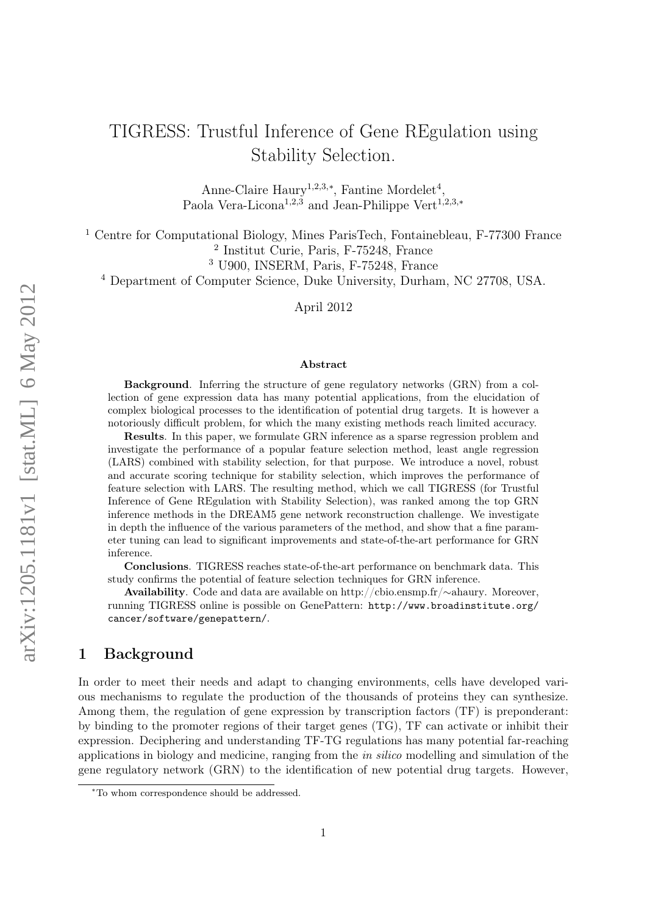# TIGRESS: Trustful Inference of Gene REgulation using Stability Selection.

Anne-Claire Haury<sup>1,2,3,\*</sup>, Fantine Mordelet<sup>4</sup>, Paola Vera-Licona<sup>1,2,3</sup> and Jean-Philippe Vert<sup>1,2,3,∗</sup>

<sup>1</sup> Centre for Computational Biology, Mines ParisTech, Fontainebleau, F-77300 France 2 Institut Curie, Paris, F-75248, France

<sup>3</sup> U900, INSERM, Paris, F-75248, France

<sup>4</sup> Department of Computer Science, Duke University, Durham, NC 27708, USA.

April 2012

#### Abstract

Background. Inferring the structure of gene regulatory networks (GRN) from a collection of gene expression data has many potential applications, from the elucidation of complex biological processes to the identification of potential drug targets. It is however a notoriously difficult problem, for which the many existing methods reach limited accuracy.

Results. In this paper, we formulate GRN inference as a sparse regression problem and investigate the performance of a popular feature selection method, least angle regression (LARS) combined with stability selection, for that purpose. We introduce a novel, robust and accurate scoring technique for stability selection, which improves the performance of feature selection with LARS. The resulting method, which we call TIGRESS (for Trustful Inference of Gene REgulation with Stability Selection), was ranked among the top GRN inference methods in the DREAM5 gene network reconstruction challenge. We investigate in depth the influence of the various parameters of the method, and show that a fine parameter tuning can lead to significant improvements and state-of-the-art performance for GRN inference.

Conclusions. TIGRESS reaches state-of-the-art performance on benchmark data. This study confirms the potential of feature selection techniques for GRN inference.

Availability. Code and data are available on [http://cbio.ensmp.fr/](http://cbio.ensmp.fr/~ahaury)∼ahaury. Moreover, running TIGRESS online is possible on GenePattern: [http://www.broadinstitute.org/](http://www.broadinstitute.org/cancer/software/genepattern/) [cancer/software/genepattern/](http://www.broadinstitute.org/cancer/software/genepattern/).

### 1 Background

In order to meet their needs and adapt to changing environments, cells have developed various mechanisms to regulate the production of the thousands of proteins they can synthesize. Among them, the regulation of gene expression by transcription factors (TF) is preponderant: by binding to the promoter regions of their target genes (TG), TF can activate or inhibit their expression. Deciphering and understanding TF-TG regulations has many potential far-reaching applications in biology and medicine, ranging from the in silico modelling and simulation of the gene regulatory network (GRN) to the identification of new potential drug targets. However,

<sup>∗</sup>To whom correspondence should be addressed.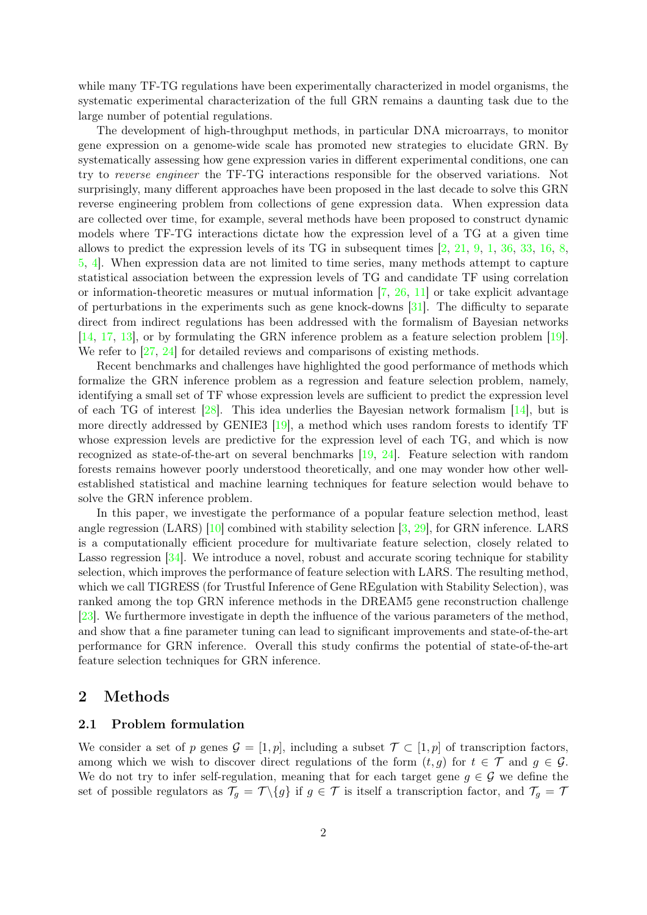while many TF-TG regulations have been experimentally characterized in model organisms, the systematic experimental characterization of the full GRN remains a daunting task due to the large number of potential regulations.

The development of high-throughput methods, in particular DNA microarrays, to monitor gene expression on a genome-wide scale has promoted new strategies to elucidate GRN. By systematically assessing how gene expression varies in different experimental conditions, one can try to reverse engineer the TF-TG interactions responsible for the observed variations. Not surprisingly, many different approaches have been proposed in the last decade to solve this GRN reverse engineering problem from collections of gene expression data. When expression data are collected over time, for example, several methods have been proposed to construct dynamic models where TF-TG interactions dictate how the expression level of a TG at a given time allows to predict the expression levels of its TG in subsequent times [\[2,](#page-18-0) [21,](#page-18-1) [9,](#page-18-2) [1,](#page-18-3) [36,](#page-19-0) [33,](#page-19-1) [16,](#page-18-4) [8,](#page-18-5) [5,](#page-18-6) [4\]](#page-18-7). When expression data are not limited to time series, many methods attempt to capture statistical association between the expression levels of TG and candidate TF using correlation or information-theoretic measures or mutual information [\[7,](#page-18-8) [26,](#page-19-2) [11\]](#page-18-9) or take explicit advantage of perturbations in the experiments such as gene knock-downs [\[31\]](#page-19-3). The difficulty to separate direct from indirect regulations has been addressed with the formalism of Bayesian networks [\[14,](#page-18-10) [17,](#page-18-11) [13\]](#page-18-12), or by formulating the GRN inference problem as a feature selection problem [\[19\]](#page-18-13). We refer to [\[27,](#page-19-4) [24\]](#page-19-5) for detailed reviews and comparisons of existing methods.

Recent benchmarks and challenges have highlighted the good performance of methods which formalize the GRN inference problem as a regression and feature selection problem, namely, identifying a small set of TF whose expression levels are sufficient to predict the expression level of each TG of interest [\[28\]](#page-19-6). This idea underlies the Bayesian network formalism [\[14\]](#page-18-10), but is more directly addressed by GENIE3 [\[19\]](#page-18-13), a method which uses random forests to identify TF whose expression levels are predictive for the expression level of each TG, and which is now recognized as state-of-the-art on several benchmarks [\[19,](#page-18-13) [24\]](#page-19-5). Feature selection with random forests remains however poorly understood theoretically, and one may wonder how other wellestablished statistical and machine learning techniques for feature selection would behave to solve the GRN inference problem.

In this paper, we investigate the performance of a popular feature selection method, least angle regression (LARS) [\[10\]](#page-18-14) combined with stability selection [\[3,](#page-18-15) [29\]](#page-19-7), for GRN inference. LARS is a computationally efficient procedure for multivariate feature selection, closely related to Lasso regression [\[34\]](#page-19-8). We introduce a novel, robust and accurate scoring technique for stability selection, which improves the performance of feature selection with LARS. The resulting method, which we call TIGRESS (for Trustful Inference of Gene REgulation with Stability Selection), was ranked among the top GRN inference methods in the DREAM5 gene reconstruction challenge [\[23\]](#page-19-9). We furthermore investigate in depth the influence of the various parameters of the method, and show that a fine parameter tuning can lead to significant improvements and state-of-the-art performance for GRN inference. Overall this study confirms the potential of state-of-the-art feature selection techniques for GRN inference.

### 2 Methods

### 2.1 Problem formulation

We consider a set of p genes  $\mathcal{G} = [1, p]$ , including a subset  $\mathcal{T} \subset [1, p]$  of transcription factors, among which we wish to discover direct regulations of the form  $(t, g)$  for  $t \in \mathcal{T}$  and  $g \in \mathcal{G}$ . We do not try to infer self-regulation, meaning that for each target gene  $g \in \mathcal{G}$  we define the set of possible regulators as  $\mathcal{T}_g = \mathcal{T} \setminus \{g\}$  if  $g \in \mathcal{T}$  is itself a transcription factor, and  $\mathcal{T}_g = \mathcal{T}$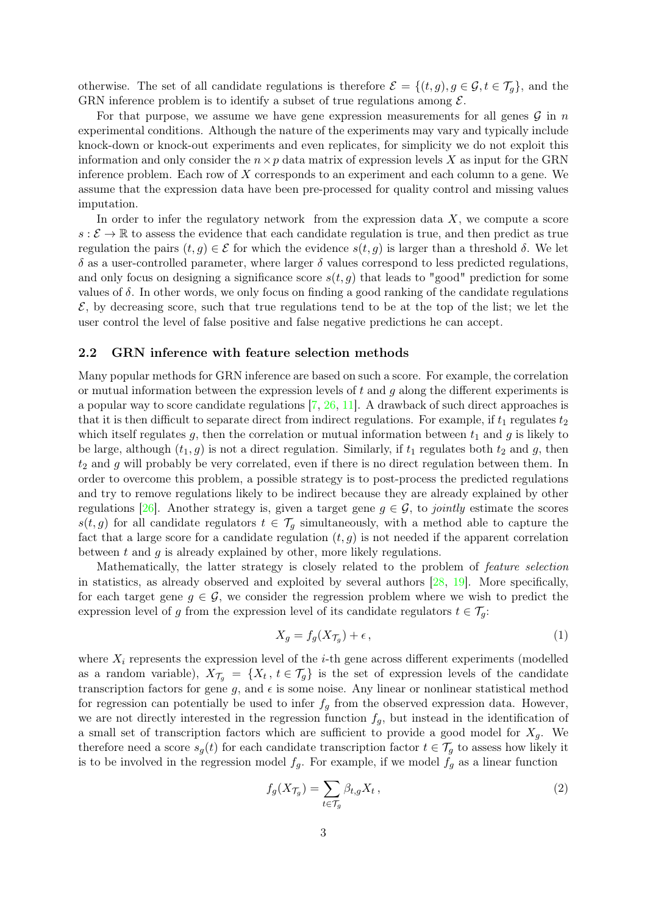otherwise. The set of all candidate regulations is therefore  $\mathcal{E} = \{(t, g), g \in \mathcal{G}, t \in \mathcal{T}_q\}$ , and the GRN inference problem is to identify a subset of true regulations among  $\mathcal{E}$ .

For that purpose, we assume we have gene expression measurements for all genes  $\mathcal G$  in n experimental conditions. Although the nature of the experiments may vary and typically include knock-down or knock-out experiments and even replicates, for simplicity we do not exploit this information and only consider the  $n \times p$  data matrix of expression levels X as input for the GRN inference problem. Each row of X corresponds to an experiment and each column to a gene. We assume that the expression data have been pre-processed for quality control and missing values imputation.

In order to infer the regulatory network from the expression data  $X$ , we compute a score  $s:\mathcal{E}\to\mathbb{R}$  to assess the evidence that each candidate regulation is true, and then predict as true regulation the pairs  $(t, g) \in \mathcal{E}$  for which the evidence  $s(t, g)$  is larger than a threshold  $\delta$ . We let  $\delta$  as a user-controlled parameter, where larger  $\delta$  values correspond to less predicted regulations, and only focus on designing a significance score  $s(t, g)$  that leads to "good" prediction for some values of  $\delta$ . In other words, we only focus on finding a good ranking of the candidate regulations  $\mathcal{E}$ , by decreasing score, such that true regulations tend to be at the top of the list; we let the user control the level of false positive and false negative predictions he can accept.

### 2.2 GRN inference with feature selection methods

Many popular methods for GRN inference are based on such a score. For example, the correlation or mutual information between the expression levels of  $t$  and  $g$  along the different experiments is a popular way to score candidate regulations [\[7,](#page-18-8) [26,](#page-19-2) [11\]](#page-18-9). A drawback of such direct approaches is that it is then difficult to separate direct from indirect regulations. For example, if  $t_1$  regulates  $t_2$ which itself regulates g, then the correlation or mutual information between  $t_1$  and g is likely to be large, although  $(t_1, g)$  is not a direct regulation. Similarly, if  $t_1$  regulates both  $t_2$  and g, then  $t_2$  and g will probably be very correlated, even if there is no direct regulation between them. In order to overcome this problem, a possible strategy is to post-process the predicted regulations and try to remove regulations likely to be indirect because they are already explained by other regulations [\[26\]](#page-19-2). Another strategy is, given a target gene  $g \in \mathcal{G}$ , to jointly estimate the scores  $s(t, g)$  for all candidate regulators  $t \in \mathcal{T}_g$  simultaneously, with a method able to capture the fact that a large score for a candidate regulation  $(t, g)$  is not needed if the apparent correlation between  $t$  and  $g$  is already explained by other, more likely regulations.

Mathematically, the latter strategy is closely related to the problem of *feature selection* in statistics, as already observed and exploited by several authors [\[28,](#page-19-6) [19\]](#page-18-13). More specifically, for each target gene  $q \in \mathcal{G}$ , we consider the regression problem where we wish to predict the expression level of g from the expression level of its candidate regulators  $t \in \mathcal{T}_q$ :

<span id="page-2-0"></span>
$$
X_g = f_g(X_{\mathcal{T}_g}) + \epsilon \,,\tag{1}
$$

where  $X_i$  represents the expression level of the *i*-th gene across different experiments (modelled as a random variable),  $X_{\mathcal{T}_{g}} = \{X_t, t \in \mathcal{T}_{g}\}\$ is the set of expression levels of the candidate transcription factors for gene g, and  $\epsilon$  is some noise. Any linear or nonlinear statistical method for regression can potentially be used to infer  $f<sub>g</sub>$  from the observed expression data. However, we are not directly interested in the regression function  $f_q$ , but instead in the identification of a small set of transcription factors which are sufficient to provide a good model for  $X_q$ . We therefore need a score  $s_g(t)$  for each candidate transcription factor  $t \in \mathcal{T}_g$  to assess how likely it is to be involved in the regression model  $f_g$ . For example, if we model  $f_g$  as a linear function

<span id="page-2-1"></span>
$$
f_g(X_{\mathcal{T}_g}) = \sum_{t \in \mathcal{T}_g} \beta_{t,g} X_t , \qquad (2)
$$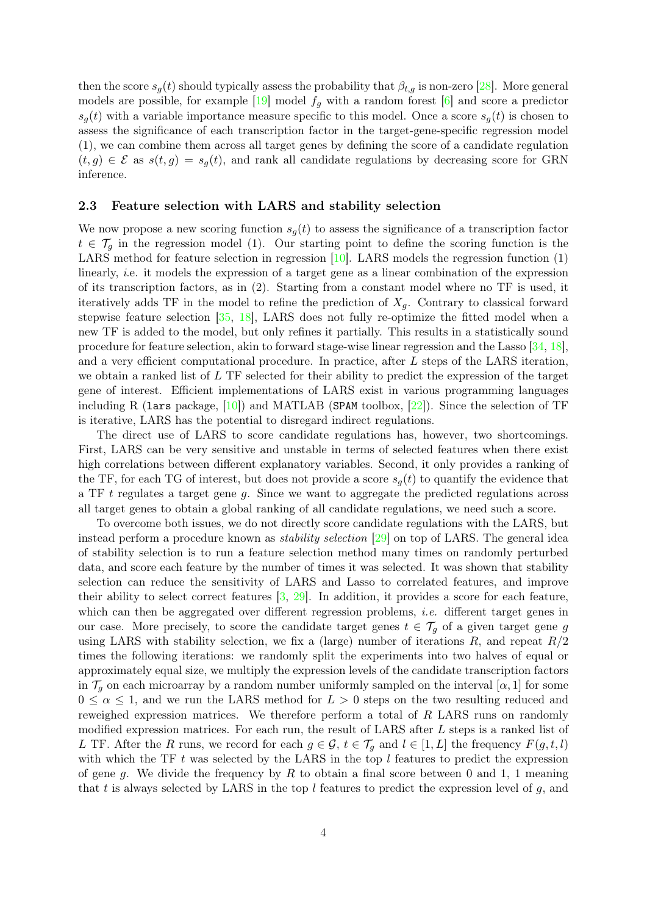then the score  $s_g(t)$  should typically assess the probability that  $\beta_{t,g}$  is non-zero [\[28\]](#page-19-6). More general models are possible, for example  $[19]$  model  $f_q$  with a random forest  $[6]$  and score a predictor  $s_q(t)$  with a variable importance measure specific to this model. Once a score  $s_q(t)$  is chosen to assess the significance of each transcription factor in the target-gene-specific regression model [\(1\)](#page-2-0), we can combine them across all target genes by defining the score of a candidate regulation  $(t, g) \in \mathcal{E}$  as  $s(t, g) = s_q(t)$ , and rank all candidate regulations by decreasing score for GRN inference.

### 2.3 Feature selection with LARS and stability selection

We now propose a new scoring function  $s_g(t)$  to assess the significance of a transcription factor  $t \in \mathcal{T}_q$  in the regression model [\(1\)](#page-2-0). Our starting point to define the scoring function is the LARS method for feature selection in regression [\[10\]](#page-18-14). LARS models the regression function [\(1\)](#page-2-0) linearly, i.e. it models the expression of a target gene as a linear combination of the expression of its transcription factors, as in [\(2\)](#page-2-1). Starting from a constant model where no TF is used, it iteratively adds TF in the model to refine the prediction of  $X_q$ . Contrary to classical forward stepwise feature selection [\[35,](#page-19-10) [18\]](#page-18-17), LARS does not fully re-optimize the fitted model when a new TF is added to the model, but only refines it partially. This results in a statistically sound procedure for feature selection, akin to forward stage-wise linear regression and the Lasso [\[34,](#page-19-8) [18\]](#page-18-17), and a very efficient computational procedure. In practice, after L steps of the LARS iteration, we obtain a ranked list of L TF selected for their ability to predict the expression of the target gene of interest. Efficient implementations of LARS exist in various programming languages including R (lars package,  $[10]$ ) and MATLAB (SPAM toolbox,  $[22]$ ). Since the selection of TF is iterative, LARS has the potential to disregard indirect regulations.

The direct use of LARS to score candidate regulations has, however, two shortcomings. First, LARS can be very sensitive and unstable in terms of selected features when there exist high correlations between different explanatory variables. Second, it only provides a ranking of the TF, for each TG of interest, but does not provide a score  $s_q(t)$  to quantify the evidence that a TF t regulates a target gene g. Since we want to aggregate the predicted regulations across all target genes to obtain a global ranking of all candidate regulations, we need such a score.

To overcome both issues, we do not directly score candidate regulations with the LARS, but instead perform a procedure known as *stability selection* [\[29\]](#page-19-7) on top of LARS. The general idea of stability selection is to run a feature selection method many times on randomly perturbed data, and score each feature by the number of times it was selected. It was shown that stability selection can reduce the sensitivity of LARS and Lasso to correlated features, and improve their ability to select correct features [\[3,](#page-18-15) [29\]](#page-19-7). In addition, it provides a score for each feature, which can then be aggregated over different regression problems, *i.e.* different target genes in our case. More precisely, to score the candidate target genes  $t \in \mathcal{T}_g$  of a given target gene g using LARS with stability selection, we fix a (large) number of iterations  $R$ , and repeat  $R/2$ times the following iterations: we randomly split the experiments into two halves of equal or approximately equal size, we multiply the expression levels of the candidate transcription factors in  $\mathcal{T}_g$  on each microarray by a random number uniformly sampled on the interval  $[\alpha, 1]$  for some  $0 \leq \alpha \leq 1$ , and we run the LARS method for  $L > 0$  steps on the two resulting reduced and reweighed expression matrices. We therefore perform a total of R LARS runs on randomly modified expression matrices. For each run, the result of LARS after L steps is a ranked list of L TF. After the R runs, we record for each  $g \in \mathcal{G}$ ,  $t \in \mathcal{T}_g$  and  $l \in [1, L]$  the frequency  $F(g, t, l)$ with which the TF  $t$  was selected by the LARS in the top  $l$  features to predict the expression of gene g. We divide the frequency by R to obtain a final score between 0 and 1, 1 meaning that t is always selected by LARS in the top  $l$  features to predict the expression level of  $g$ , and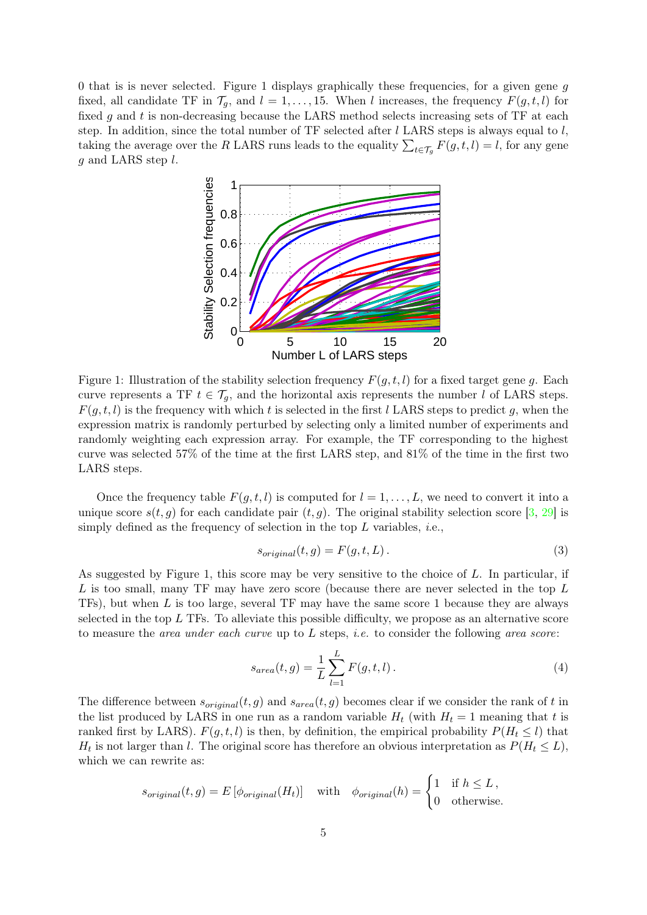<span id="page-4-0"></span>0 that is is never selected. Figure [1](#page-4-0) displays graphically these frequencies, for a given gene g fixed, all candidate TF in  $\mathcal{T}_g$ , and  $l = 1, \ldots, 15$ . When l increases, the frequency  $F(g, t, l)$  for fixed g and t is non-decreasing because the LARS method selects increasing sets of TF at each step. In addition, since the total number of TF selected after  $l$  LARS steps is always equal to  $l$ , taking the average over the R LARS runs leads to the equality  $\sum_{t \in \mathcal{T}_g} F(g, t, l) = l$ , for any gene  $g$  and LARS step  $l$ .



Figure 1: Illustration of the stability selection frequency  $F(g, t, l)$  for a fixed target gene g. Each curve represents a TF  $t \in \mathcal{T}_g$ , and the horizontal axis represents the number l of LARS steps.  $F(g, t, l)$  is the frequency with which t is selected in the first l LARS steps to predict g, when the expression matrix is randomly perturbed by selecting only a limited number of experiments and randomly weighting each expression array. For example, the TF corresponding to the highest curve was selected 57% of the time at the first LARS step, and 81% of the time in the first two LARS steps.

Once the frequency table  $F(g, t, l)$  is computed for  $l = 1, \ldots, L$ , we need to convert it into a unique score  $s(t, g)$  for each candidate pair  $(t, g)$ . The original stability selection score [\[3,](#page-18-15) [29\]](#page-19-7) is simply defined as the frequency of selection in the top  $L$  variables, *i.e.*,

<span id="page-4-1"></span>
$$
s_{original}(t,g) = F(g,t,L). \tag{3}
$$

As suggested by Figure [1,](#page-4-0) this score may be very sensitive to the choice of  $L$ . In particular, if  $L$  is too small, many TF may have zero score (because there are never selected in the top  $L$ TFs), but when L is too large, several TF may have the same score 1 because they are always selected in the top  $L$  TFs. To alleviate this possible difficulty, we propose as an alternative score to measure the area under each curve up to L steps, i.e. to consider the following area score:

<span id="page-4-2"></span>
$$
s_{area}(t,g) = \frac{1}{L} \sum_{l=1}^{L} F(g,t,l).
$$
 (4)

The difference between  $s_{original}(t, g)$  and  $s_{area}(t, g)$  becomes clear if we consider the rank of t in the list produced by LARS in one run as a random variable  $H_t$  (with  $H_t = 1$  meaning that t is ranked first by LARS).  $F(g, t, l)$  is then, by definition, the empirical probability  $P(H_t \leq l)$  that  $H_t$  is not larger than l. The original score has therefore an obvious interpretation as  $P(H_t \leq L)$ , which we can rewrite as:

$$
s_{original}(t,g) = E\left[\phi_{original}(H_t)\right] \quad \text{with} \quad \phi_{original}(h) = \begin{cases} 1 & \text{if } h \le L, \\ 0 & \text{otherwise.} \end{cases}
$$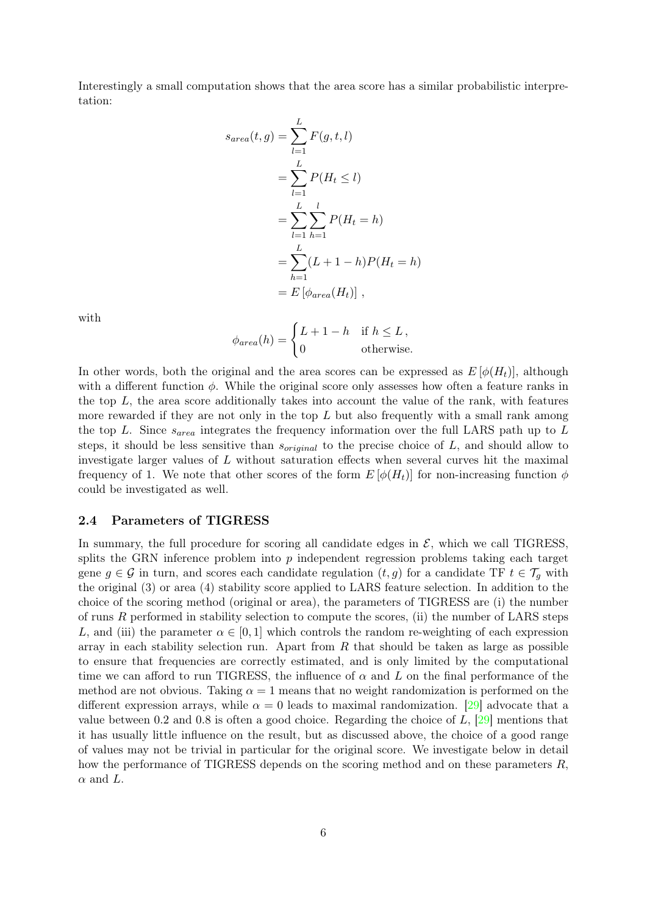Interestingly a small computation shows that the area score has a similar probabilistic interpretation:

$$
s_{area}(t, g) = \sum_{l=1}^{L} F(g, t, l)
$$
  
= 
$$
\sum_{l=1}^{L} P(H_t \le l)
$$
  
= 
$$
\sum_{l=1}^{L} \sum_{h=1}^{l} P(H_t = h)
$$
  
= 
$$
\sum_{h=1}^{L} (L + 1 - h) P(H_t = h)
$$
  
= 
$$
E [\phi_{area}(H_t)]
$$
,

with

$$
\phi_{area}(h) = \begin{cases} L + 1 - h & \text{if } h \le L, \\ 0 & \text{otherwise.} \end{cases}
$$

In other words, both the original and the area scores can be expressed as  $E[\phi(H_t)]$ , although with a different function  $\phi$ . While the original score only assesses how often a feature ranks in the top  $L$ , the area score additionally takes into account the value of the rank, with features more rewarded if they are not only in the top  $L$  but also frequently with a small rank among the top L. Since  $s_{area}$  integrates the frequency information over the full LARS path up to L steps, it should be less sensitive than  $s_{original}$  to the precise choice of L, and should allow to investigate larger values of L without saturation effects when several curves hit the maximal frequency of 1. We note that other scores of the form  $E[\phi(H_t)]$  for non-increasing function  $\phi$ could be investigated as well.

#### 2.4 Parameters of TIGRESS

In summary, the full procedure for scoring all candidate edges in  $\mathcal{E}$ , which we call TIGRESS, splits the GRN inference problem into  $p$  independent regression problems taking each target gene  $g \in \mathcal{G}$  in turn, and scores each candidate regulation  $(t, g)$  for a candidate TF  $t \in \mathcal{T}_q$  with the original [\(3\)](#page-4-1) or area [\(4\)](#page-4-2) stability score applied to LARS feature selection. In addition to the choice of the scoring method (original or area), the parameters of TIGRESS are (i) the number of runs R performed in stability selection to compute the scores, (ii) the number of LARS steps L, and (iii) the parameter  $\alpha \in [0,1]$  which controls the random re-weighting of each expression array in each stability selection run. Apart from  $R$  that should be taken as large as possible to ensure that frequencies are correctly estimated, and is only limited by the computational time we can afford to run TIGRESS, the influence of  $\alpha$  and L on the final performance of the method are not obvious. Taking  $\alpha = 1$  means that no weight randomization is performed on the different expression arrays, while  $\alpha = 0$  leads to maximal randomization. [\[29\]](#page-19-7) advocate that a value between 0.2 and 0.8 is often a good choice. Regarding the choice of  $L$ , [\[29\]](#page-19-7) mentions that it has usually little influence on the result, but as discussed above, the choice of a good range of values may not be trivial in particular for the original score. We investigate below in detail how the performance of TIGRESS depends on the scoring method and on these parameters  $R$ ,  $\alpha$  and L.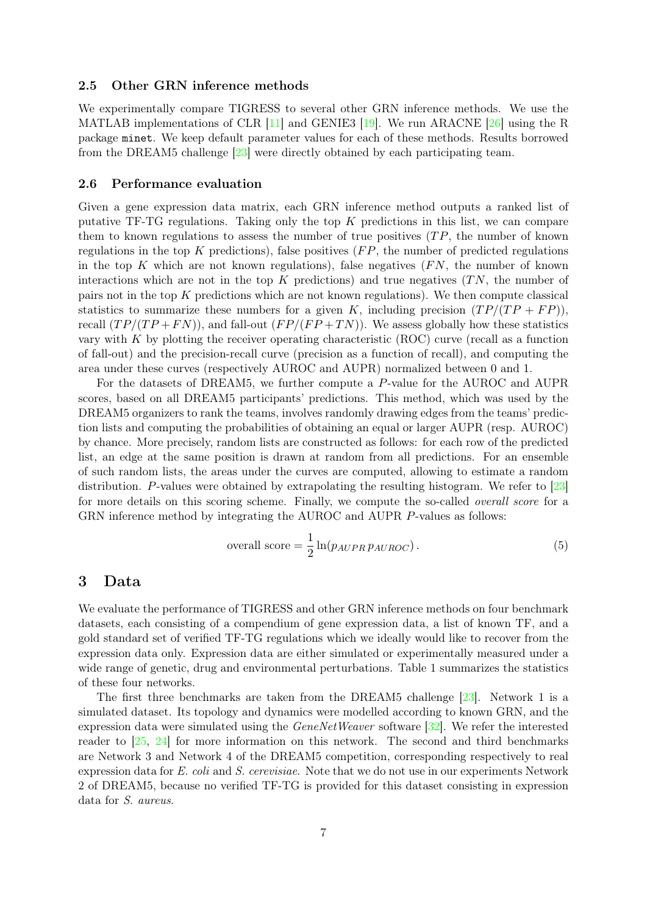#### 2.5 Other GRN inference methods

We experimentally compare TIGRESS to several other GRN inference methods. We use the MATLAB implementations of CLR [\[11\]](#page-18-9) and GENIE3 [\[19\]](#page-18-13). We run ARACNE [\[26\]](#page-19-2) using the R package minet. We keep default parameter values for each of these methods. Results borrowed from the DREAM5 challenge [\[23\]](#page-19-9) were directly obtained by each participating team.

### 2.6 Performance evaluation

Given a gene expression data matrix, each GRN inference method outputs a ranked list of putative TF-TG regulations. Taking only the top  $K$  predictions in this list, we can compare them to known regulations to assess the number of true positives  $(TP)$ , the number of known regulations in the top  $K$  predictions), false positives  $(FP)$ , the number of predicted regulations in the top  $K$  which are not known regulations), false negatives  $(FN,$  the number of known interactions which are not in the top  $K$  predictions) and true negatives  $(T_N)$ , the number of pairs not in the top K predictions which are not known regulations). We then compute classical statistics to summarize these numbers for a given K, including precision  $(TP/(TP + FP))$ , recall  $(TP/(TP + FN))$ , and fall-out  $(FP/(FP + TN))$ . We assess globally how these statistics vary with  $K$  by plotting the receiver operating characteristic (ROC) curve (recall as a function of fall-out) and the precision-recall curve (precision as a function of recall), and computing the area under these curves (respectively AUROC and AUPR) normalized between 0 and 1.

For the datasets of DREAM5, we further compute a P-value for the AUROC and AUPR scores, based on all DREAM5 participants' predictions. This method, which was used by the DREAM5 organizers to rank the teams, involves randomly drawing edges from the teams' prediction lists and computing the probabilities of obtaining an equal or larger AUPR (resp. AUROC) by chance. More precisely, random lists are constructed as follows: for each row of the predicted list, an edge at the same position is drawn at random from all predictions. For an ensemble of such random lists, the areas under the curves are computed, allowing to estimate a random distribution. P-values were obtained by extrapolating the resulting histogram. We refer to [\[23\]](#page-19-9) for more details on this scoring scheme. Finally, we compute the so-called *overall score* for a GRN inference method by integrating the AUROC and AUPR P-values as follows:

<span id="page-6-0"></span>
$$
overall score = \frac{1}{2} \ln(p_{AUPR} p_{AUROC}). \qquad (5)
$$

### 3 Data

We evaluate the performance of TIGRESS and other GRN inference methods on four benchmark datasets, each consisting of a compendium of gene expression data, a list of known TF, and a gold standard set of verified TF-TG regulations which we ideally would like to recover from the expression data only. Expression data are either simulated or experimentally measured under a wide range of genetic, drug and environmental perturbations. Table [1](#page-7-0) summarizes the statistics of these four networks.

The first three benchmarks are taken from the DREAM5 challenge [\[23\]](#page-19-9). Network 1 is a simulated dataset. Its topology and dynamics were modelled according to known GRN, and the expression data were simulated using the  $GeneNetWeaver$  software  $[32]$ . We refer the interested reader to [\[25,](#page-19-12) [24\]](#page-19-5) for more information on this network. The second and third benchmarks are Network 3 and Network 4 of the DREAM5 competition, corresponding respectively to real expression data for E. coli and S. cerevisiae. Note that we do not use in our experiments Network 2 of DREAM5, because no verified TF-TG is provided for this dataset consisting in expression data for S. aureus.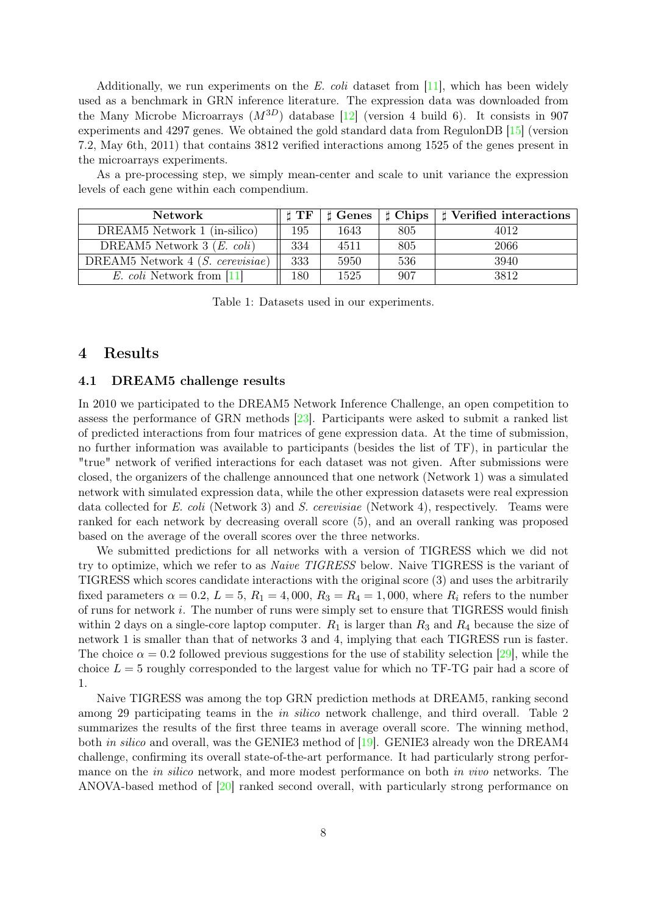Additionally, we run experiments on the E. coli dataset from  $[11]$ , which has been widely used as a benchmark in GRN inference literature. The expression data was downloaded from the Many Microbe Microarrays  $(M^{3D})$  database [\[12\]](#page-18-19) (version 4 build 6). It consists in 907 experiments and 4297 genes. We obtained the gold standard data from RegulonDB [\[15\]](#page-18-20) (version 7.2, May 6th, 2011) that contains 3812 verified interactions among 1525 of the genes present in the microarrays experiments.

As a pre-processing step, we simply mean-center and scale to unit variance the expression levels of each gene within each compendium.

<span id="page-7-0"></span>

| <b>Network</b>                      | $H$ TF | $\sharp$ Genes | $\sharp$ Chips | Verified interactions |
|-------------------------------------|--------|----------------|----------------|-----------------------|
| DREAM5 Network 1 (in-silico)        | 195    | 1643           | 805            | 4012                  |
| DREAM5 Network $3(E. \text{ coli})$ | 334    | 4511           | 805            | 2066                  |
| DREAM5 Network $4(S. cerevisiae)$   | 333    | 5950           | 536            | 3940                  |
| <i>E. coli</i> Network from [11]    | .80    | 1525           | 907            | 3812                  |

Table 1: Datasets used in our experiments.

# 4 Results

#### 4.1 DREAM5 challenge results

In 2010 we participated to the DREAM5 Network Inference Challenge, an open competition to assess the performance of GRN methods [\[23\]](#page-19-9). Participants were asked to submit a ranked list of predicted interactions from four matrices of gene expression data. At the time of submission, no further information was available to participants (besides the list of TF), in particular the "true" network of verified interactions for each dataset was not given. After submissions were closed, the organizers of the challenge announced that one network (Network 1) was a simulated network with simulated expression data, while the other expression datasets were real expression data collected for E. coli (Network 3) and S. cerevisiae (Network 4), respectively. Teams were ranked for each network by decreasing overall score [\(5\)](#page-6-0), and an overall ranking was proposed based on the average of the overall scores over the three networks.

We submitted predictions for all networks with a version of TIGRESS which we did not try to optimize, which we refer to as Naive TIGRESS below. Naive TIGRESS is the variant of TIGRESS which scores candidate interactions with the original score [\(3\)](#page-4-1) and uses the arbitrarily fixed parameters  $\alpha = 0.2$ ,  $L = 5$ ,  $R_1 = 4,000$ ,  $R_3 = R_4 = 1,000$ , where  $R_i$  refers to the number of runs for network i. The number of runs were simply set to ensure that TIGRESS would finish within 2 days on a single-core laptop computer.  $R_1$  is larger than  $R_3$  and  $R_4$  because the size of network 1 is smaller than that of networks 3 and 4, implying that each TIGRESS run is faster. The choice  $\alpha = 0.2$  followed previous suggestions for the use of stability selection [\[29\]](#page-19-7), while the choice  $L = 5$  roughly corresponded to the largest value for which no TF-TG pair had a score of 1.

Naive TIGRESS was among the top GRN prediction methods at DREAM5, ranking second among 29 participating teams in the in silico network challenge, and third overall. Table [2](#page-8-0) summarizes the results of the first three teams in average overall score. The winning method, both *in silico* and overall, was the GENIE3 method of [\[19\]](#page-18-13). GENIE3 already won the DREAM4 challenge, confirming its overall state-of-the-art performance. It had particularly strong performance on the *in silico* network, and more modest performance on both *in vivo* networks. The ANOVA-based method of [\[20\]](#page-18-21) ranked second overall, with particularly strong performance on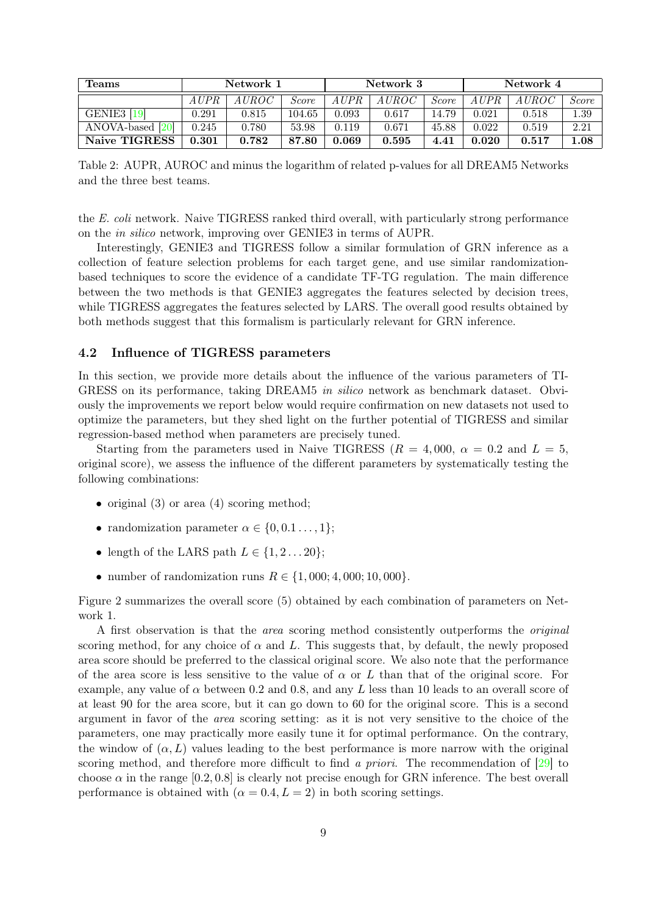<span id="page-8-0"></span>

| Teams            | Network 1 |              | Network 3 |       |           | Network 4    |       |           |              |
|------------------|-----------|--------------|-----------|-------|-----------|--------------|-------|-----------|--------------|
|                  | A UPR     | <i>AUROC</i> | Score     | AUPR  | A U R O C | <i>Score</i> | AUPR- | A U R O C | <i>Score</i> |
| GENIE3 [19]      | 0.291     | 0.815        | 104.65    | 0.093 | 0.617     | 14.79        | 0.021 | 0.518     | 1.39         |
| ANOVA-based [20] | 0.245     | 0.780        | 53.98     | 0.119 | 0.671     | 45.88        | 0.022 | 0.519     | 2.21         |
| Naive TIGRESS    | 0.301     | 0.782        | 87.80     | 0.069 | 0.595     | 4.41         | 0.020 | 0.517     | $1.08\,$     |

Table 2: AUPR, AUROC and minus the logarithm of related p-values for all DREAM5 Networks and the three best teams.

the E. coli network. Naive TIGRESS ranked third overall, with particularly strong performance on the in silico network, improving over GENIE3 in terms of AUPR.

Interestingly, GENIE3 and TIGRESS follow a similar formulation of GRN inference as a collection of feature selection problems for each target gene, and use similar randomizationbased techniques to score the evidence of a candidate TF-TG regulation. The main difference between the two methods is that GENIE3 aggregates the features selected by decision trees, while TIGRESS aggregates the features selected by LARS. The overall good results obtained by both methods suggest that this formalism is particularly relevant for GRN inference.

### 4.2 Influence of TIGRESS parameters

In this section, we provide more details about the influence of the various parameters of TI-GRESS on its performance, taking DREAM5 in silico network as benchmark dataset. Obviously the improvements we report below would require confirmation on new datasets not used to optimize the parameters, but they shed light on the further potential of TIGRESS and similar regression-based method when parameters are precisely tuned.

Starting from the parameters used in Naive TIGRESS ( $R = 4,000$ ,  $\alpha = 0.2$  and  $L = 5$ , original score), we assess the influence of the different parameters by systematically testing the following combinations:

- original [\(3\)](#page-4-1) or area [\(4\)](#page-4-2) scoring method;
- randomization parameter  $\alpha \in \{0, 0.1 \ldots, 1\};$
- length of the LARS path  $L \in \{1, 2 \dots 20\}$ ;
- number of randomization runs  $R \in \{1,000; 4,000; 10,000\}.$

Figure [2](#page-9-0) summarizes the overall score [\(5\)](#page-6-0) obtained by each combination of parameters on Network 1.

A first observation is that the area scoring method consistently outperforms the original scoring method, for any choice of  $\alpha$  and L. This suggests that, by default, the newly proposed area score should be preferred to the classical original score. We also note that the performance of the area score is less sensitive to the value of  $\alpha$  or L than that of the original score. For example, any value of  $\alpha$  between 0.2 and 0.8, and any L less than 10 leads to an overall score of at least 90 for the area score, but it can go down to 60 for the original score. This is a second argument in favor of the area scoring setting: as it is not very sensitive to the choice of the parameters, one may practically more easily tune it for optimal performance. On the contrary, the window of  $(\alpha, L)$  values leading to the best performance is more narrow with the original scoring method, and therefore more difficult to find a *priori*. The recommendation of  $\boxed{29}$  to choose  $\alpha$  in the range [0.2, 0.8] is clearly not precise enough for GRN inference. The best overall performance is obtained with  $(\alpha = 0.4, L = 2)$  in both scoring settings.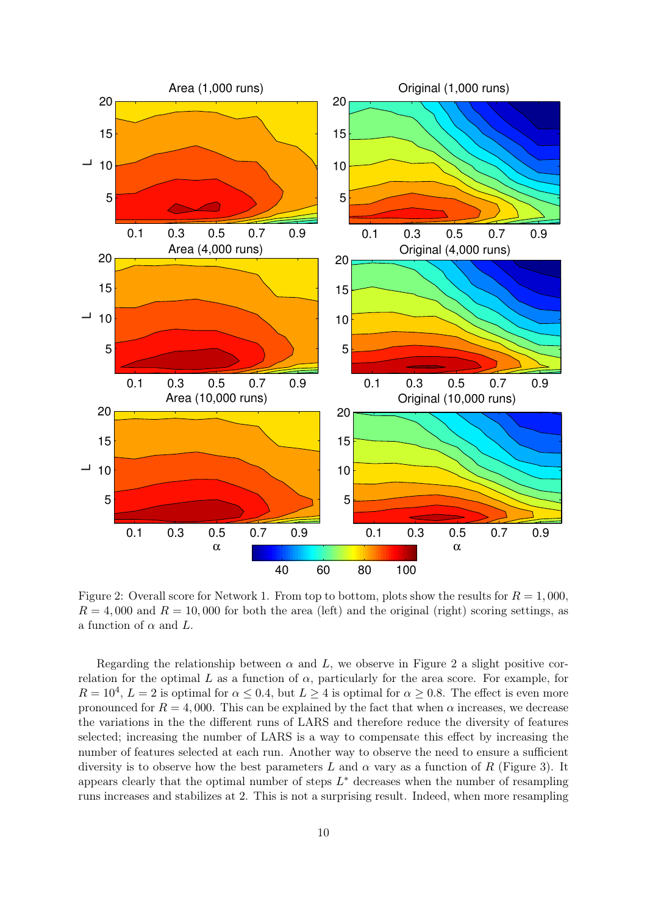<span id="page-9-0"></span>

Figure 2: Overall score for Network 1. From top to bottom, plots show the results for  $R = 1,000$ ,  $R = 4,000$  and  $R = 10,000$  for both the area (left) and the original (right) scoring settings, as a function of  $\alpha$  and  $L$ .

Regarding the relationship between  $\alpha$  and L, we observe in Figure [2](#page-9-0) a slight positive correlation for the optimal L as a function of  $\alpha$ , particularly for the area score. For example, for  $R = 10^4$ ,  $L = 2$  is optimal for  $\alpha \leq 0.4$ , but  $L \geq 4$  is optimal for  $\alpha \geq 0.8$ . The effect is even more pronounced for  $R = 4,000$ . This can be explained by the fact that when  $\alpha$  increases, we decrease the variations in the the different runs of LARS and therefore reduce the diversity of features selected; increasing the number of LARS is a way to compensate this effect by increasing the number of features selected at each run. Another way to observe the need to ensure a sufficient diversity is to observe how the best parameters L and  $\alpha$  vary as a function of R (Figure [3\)](#page-10-0). It appears clearly that the optimal number of steps  $L^*$  decreases when the number of resampling runs increases and stabilizes at 2. This is not a surprising result. Indeed, when more resampling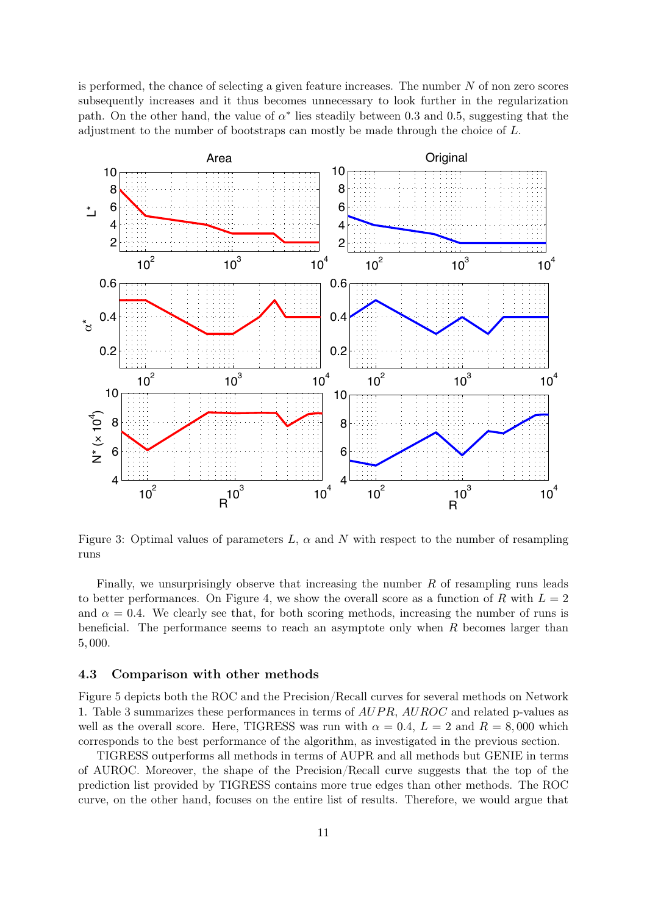is performed, the chance of selecting a given feature increases. The number N of non zero scores subsequently increases and it thus becomes unnecessary to look further in the regularization path. On the other hand, the value of  $\alpha^*$  lies steadily between 0.3 and 0.5, suggesting that the adjustment to the number of bootstraps can mostly be made through the choice of L.

<span id="page-10-0"></span>

Figure 3: Optimal values of parameters  $L$ ,  $\alpha$  and  $N$  with respect to the number of resampling runs

Finally, we unsurprisingly observe that increasing the number  $R$  of resampling runs leads to better performances. On Figure [4,](#page-11-0) we show the overall score as a function of R with  $L = 2$ and  $\alpha = 0.4$ . We clearly see that, for both scoring methods, increasing the number of runs is beneficial. The performance seems to reach an asymptote only when  $R$  becomes larger than 5, 000.

### 4.3 Comparison with other methods

Figure [5](#page-11-1) depicts both the ROC and the Precision/Recall curves for several methods on Network 1. Table [3](#page-12-0) summarizes these performances in terms of  $AUPR$ ,  $AUROC$  and related p-values as well as the overall score. Here, TIGRESS was run with  $\alpha = 0.4$ ,  $L = 2$  and  $R = 8,000$  which corresponds to the best performance of the algorithm, as investigated in the previous section.

TIGRESS outperforms all methods in terms of AUPR and all methods but GENIE in terms of AUROC. Moreover, the shape of the Precision/Recall curve suggests that the top of the prediction list provided by TIGRESS contains more true edges than other methods. The ROC curve, on the other hand, focuses on the entire list of results. Therefore, we would argue that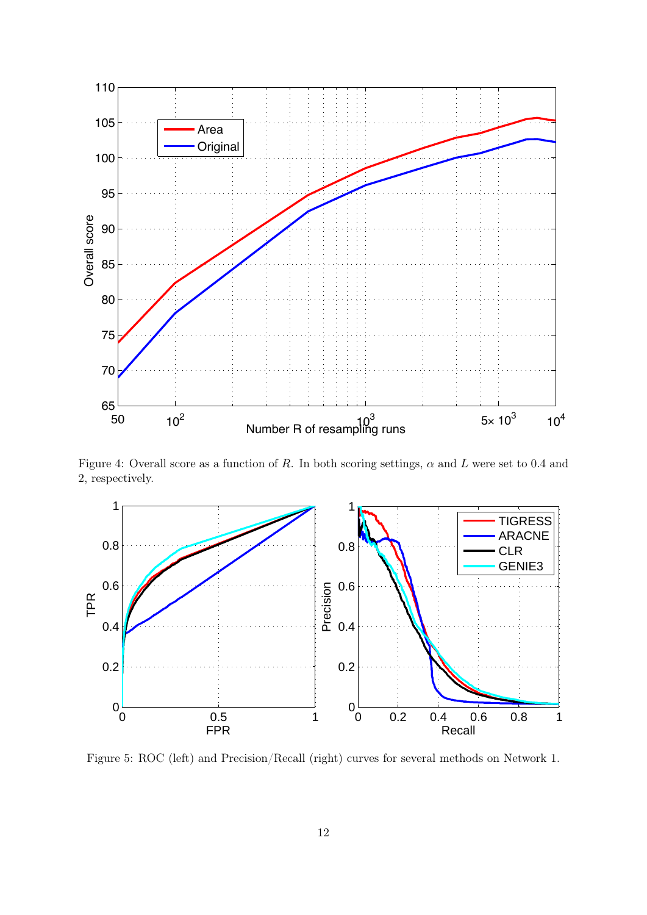<span id="page-11-0"></span>

Figure 4: Overall score as a function of R. In both scoring settings,  $\alpha$  and L were set to 0.4 and 2, respectively.

<span id="page-11-1"></span>

Figure 5: ROC (left) and Precision/Recall (right) curves for several methods on Network 1.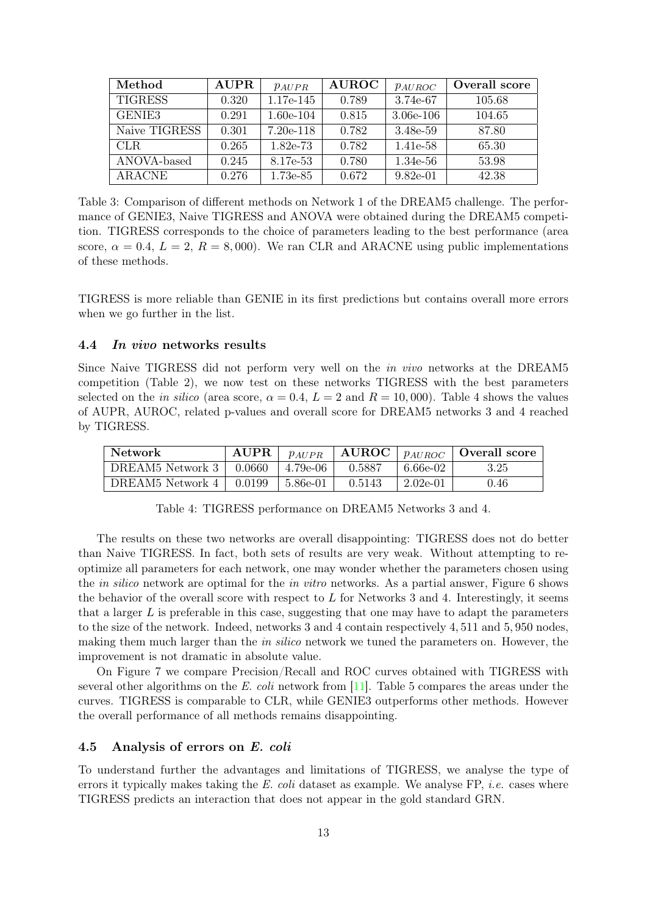<span id="page-12-0"></span>

| Method             | <b>AUPR</b> | $p_{AUPR}$  | <b>AUROC</b> | $p_{AUROC}$ | Overall score |
|--------------------|-------------|-------------|--------------|-------------|---------------|
| <b>TIGRESS</b>     | 0.320       | 1.17e-145   | 0.789        | 3.74e-67    | 105.68        |
| GENIE <sub>3</sub> | 0.291       | $1.60e-104$ | 0.815        | $3.06e-106$ | 104.65        |
| Naive TIGRESS      | 0.301       | $7.20e-118$ | 0.782        | 3.48e-59    | 87.80         |
| CLR.               | 0.265       | 1.82e-73    | 0.782        | 1.41e-58    | 65.30         |
| ANOVA-based        | 0.245       | 8.17e-53    | 0.780        | 1.34e-56    | 53.98         |
| ARACNE             | 0.276       | 1.73e-85    | 0.672        | $9.82e-01$  | 42.38         |

Table 3: Comparison of different methods on Network 1 of the DREAM5 challenge. The performance of GENIE3, Naive TIGRESS and ANOVA were obtained during the DREAM5 competition. TIGRESS corresponds to the choice of parameters leading to the best performance (area score,  $\alpha = 0.4$ ,  $L = 2$ ,  $R = 8,000$ . We ran CLR and ARACNE using public implementations of these methods.

TIGRESS is more reliable than GENIE in its first predictions but contains overall more errors when we go further in the list.

#### 4.4 In vivo networks results

Since Naive TIGRESS did not perform very well on the in vivo networks at the DREAM5 competition (Table [2\)](#page-8-0), we now test on these networks TIGRESS with the best parameters selected on the *in silico* (area score,  $\alpha = 0.4$  $\alpha = 0.4$ ,  $L = 2$  and  $R = 10,000$ ). Table 4 shows the values of AUPR, AUROC, related p-values and overall score for DREAM5 networks 3 and 4 reached by TIGRESS.

<span id="page-12-1"></span>

| <b>Network</b>   | <b>AUPR</b> | $p_{AUPR}$ | AUROC  | PAUROC     | Overall score |
|------------------|-------------|------------|--------|------------|---------------|
| DREAM5 Network 3 | 0.0660      | 4.79e-06   | 0.5887 | 6.66e-02   | 3.25          |
| DREAM5 Network 4 | 0.0199      | 5.86e-01   | 0.5143 | $2.02e-01$ | 0.46          |

Table 4: TIGRESS performance on DREAM5 Networks 3 and 4.

The results on these two networks are overall disappointing: TIGRESS does not do better than Naive TIGRESS. In fact, both sets of results are very weak. Without attempting to reoptimize all parameters for each network, one may wonder whether the parameters chosen using the in silico network are optimal for the in vitro networks. As a partial answer, Figure [6](#page-13-0) shows the behavior of the overall score with respect to  $L$  for Networks 3 and 4. Interestingly, it seems that a larger  $L$  is preferable in this case, suggesting that one may have to adapt the parameters to the size of the network. Indeed, networks 3 and 4 contain respectively 4, 511 and 5, 950 nodes, making them much larger than the *in silico* network we tuned the parameters on. However, the improvement is not dramatic in absolute value.

On Figure [7](#page-13-1) we compare Precision/Recall and ROC curves obtained with TIGRESS with several other algorithms on the E. coli network from [\[11\]](#page-18-9). Table [5](#page-13-2) compares the areas under the curves. TIGRESS is comparable to CLR, while GENIE3 outperforms other methods. However the overall performance of all methods remains disappointing.

### 4.5 Analysis of errors on E. coli

To understand further the advantages and limitations of TIGRESS, we analyse the type of errors it typically makes taking the  $E.$  coli dataset as example. We analyse  $FP$ , *i.e.* cases where TIGRESS predicts an interaction that does not appear in the gold standard GRN.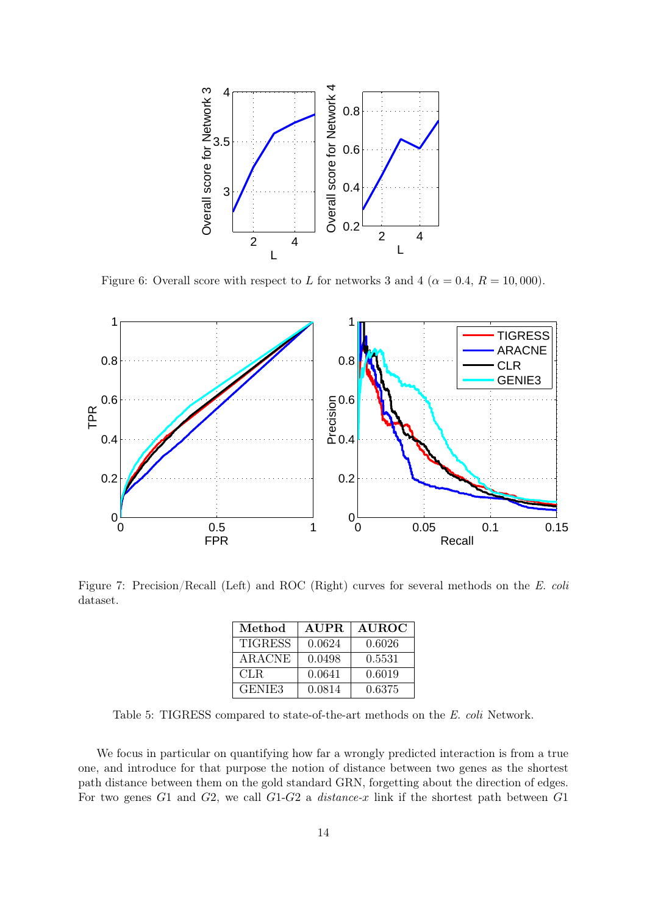<span id="page-13-0"></span>

Figure 6: Overall score with respect to L for networks 3 and 4 ( $\alpha = 0.4$ ,  $R = 10,000$ ).

<span id="page-13-1"></span>

<span id="page-13-2"></span>Figure 7: Precision/Recall (Left) and ROC (Right) curves for several methods on the E. coli dataset.

| Method             | <b>AUPR</b> | <b>AUROC</b> |
|--------------------|-------------|--------------|
| <b>TIGRESS</b>     | 0.0624      | 0.6026       |
| <b>ARACNE</b>      | 0.0498      | 0.5531       |
| CLR.               | 0.0641      | 0.6019       |
| GENIE <sub>3</sub> | 0.0814      | 0.6375       |

Table 5: TIGRESS compared to state-of-the-art methods on the E. coli Network.

We focus in particular on quantifying how far a wrongly predicted interaction is from a true one, and introduce for that purpose the notion of distance between two genes as the shortest path distance between them on the gold standard GRN, forgetting about the direction of edges. For two genes  $G1$  and  $G2$ , we call  $G1-G2$  a *distance-x* link if the shortest path between  $G1$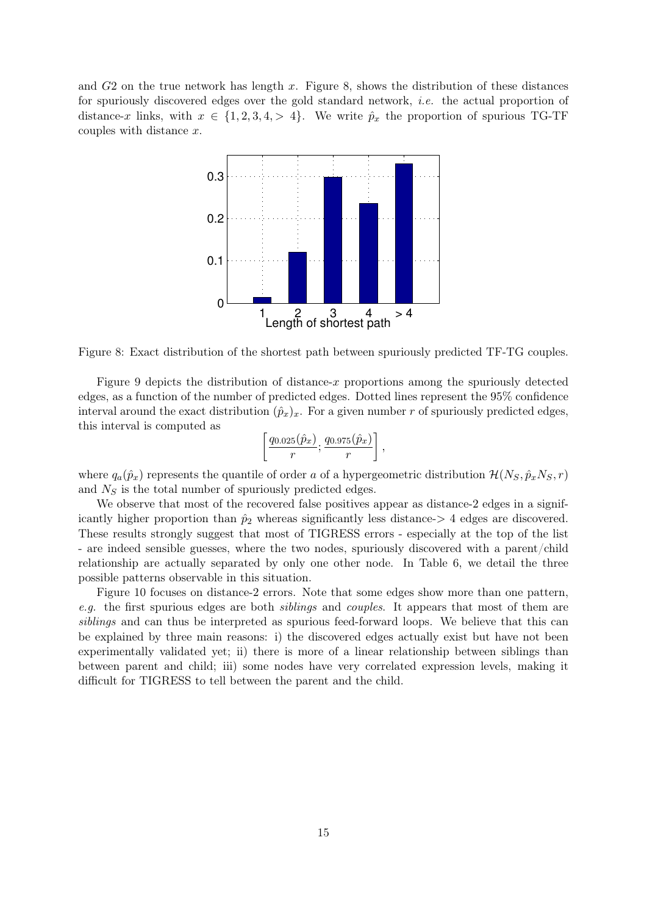<span id="page-14-0"></span>and  $G2$  on the true network has length x. Figure [8,](#page-14-0) shows the distribution of these distances for spuriously discovered edges over the gold standard network, i.e. the actual proportion of distance-x links, with  $x \in \{1, 2, 3, 4, > 4\}$ . We write  $\hat{p}_x$  the proportion of spurious TG-TF couples with distance x.



Figure 8: Exact distribution of the shortest path between spuriously predicted TF-TG couples.

Figure [9](#page-15-0) depicts the distribution of distance-x proportions among the spuriously detected edges, as a function of the number of predicted edges. Dotted lines represent the 95% confidence interval around the exact distribution  $(\hat{p}_x)_x$ . For a given number r of spuriously predicted edges, this interval is computed as

$$
\left[\frac{q_{0.025}(\hat{p}_x)}{r}; \frac{q_{0.975}(\hat{p}_x)}{r}\right],
$$

where  $q_a(\hat{p}_x)$  represents the quantile of order a of a hypergeometric distribution  $\mathcal{H}(N_S, \hat{p}_xN_S, r)$ and  $N<sub>S</sub>$  is the total number of spuriously predicted edges.

We observe that most of the recovered false positives appear as distance-2 edges in a significantly higher proportion than  $\hat{p}_2$  whereas significantly less distance- $> 4$  edges are discovered. These results strongly suggest that most of TIGRESS errors - especially at the top of the list - are indeed sensible guesses, where the two nodes, spuriously discovered with a parent/child relationship are actually separated by only one other node. In Table [6,](#page-16-0) we detail the three possible patterns observable in this situation.

Figure [10](#page-16-1) focuses on distance-2 errors. Note that some edges show more than one pattern, e.g. the first spurious edges are both *siblings* and *couples*. It appears that most of them are siblings and can thus be interpreted as spurious feed-forward loops. We believe that this can be explained by three main reasons: i) the discovered edges actually exist but have not been experimentally validated yet; ii) there is more of a linear relationship between siblings than between parent and child; iii) some nodes have very correlated expression levels, making it difficult for TIGRESS to tell between the parent and the child.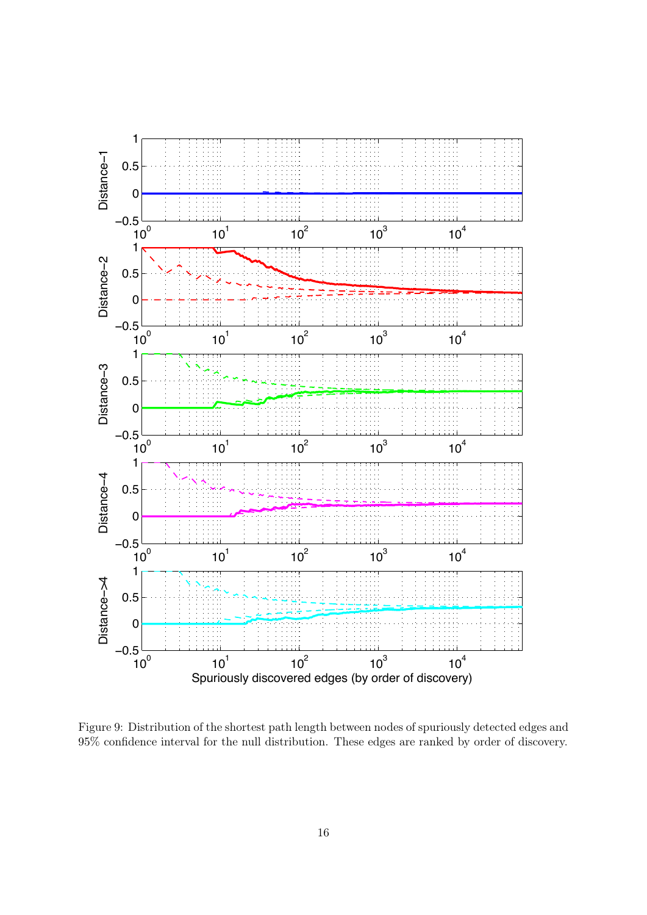<span id="page-15-0"></span>

Figure 9: Distribution of the shortest path length between nodes of spuriously detected edges and 95% confidence interval for the null distribution. These edges are ranked by order of discovery.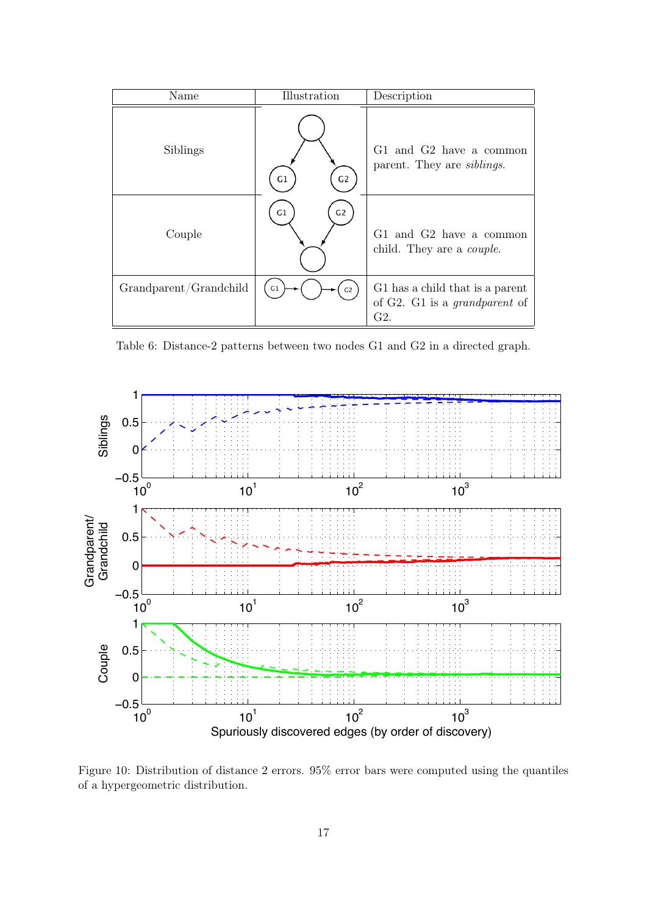<span id="page-16-0"></span>

| Name                   | Illustration         | Description                                                                       |
|------------------------|----------------------|-----------------------------------------------------------------------------------|
| Siblings               | G1<br>G <sub>2</sub> | G1 and G2 have a common<br>parent. They are <i>siblings</i> .                     |
| Couple                 | G <sub>2</sub><br>G1 | G1 and G2 have a common<br>child. They are a <i>couple</i> .                      |
| Grandparent/Grandchild | G1<br>G <sub>2</sub> | G1 has a child that is a parent<br>of G2. G1 is a <i>grandparent</i> of<br>$G2$ . |

Table 6: Distance-2 patterns between two nodes G1 and G2 in a directed graph.

<span id="page-16-1"></span>

Figure 10: Distribution of distance 2 errors. 95% error bars were computed using the quantiles of a hypergeometric distribution.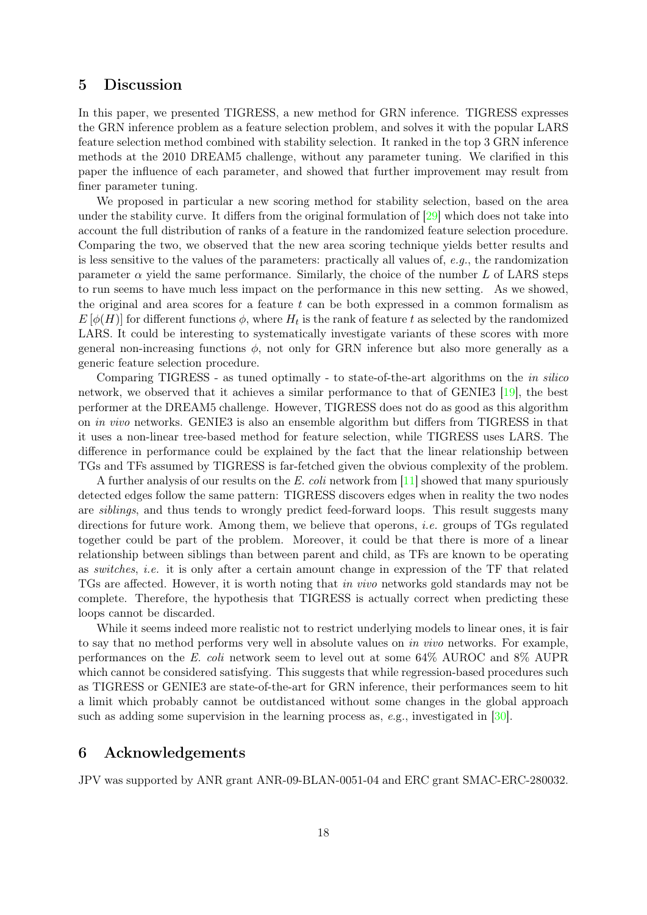### 5 Discussion

In this paper, we presented TIGRESS, a new method for GRN inference. TIGRESS expresses the GRN inference problem as a feature selection problem, and solves it with the popular LARS feature selection method combined with stability selection. It ranked in the top 3 GRN inference methods at the 2010 DREAM5 challenge, without any parameter tuning. We clarified in this paper the influence of each parameter, and showed that further improvement may result from finer parameter tuning.

We proposed in particular a new scoring method for stability selection, based on the area under the stability curve. It differs from the original formulation of  $\left|29\right|$  which does not take into account the full distribution of ranks of a feature in the randomized feature selection procedure. Comparing the two, we observed that the new area scoring technique yields better results and is less sensitive to the values of the parameters: practically all values of, e.g., the randomization parameter  $\alpha$  yield the same performance. Similarly, the choice of the number L of LARS steps to run seems to have much less impact on the performance in this new setting. As we showed, the original and area scores for a feature  $t$  can be both expressed in a common formalism as  $E[\phi(H)]$  for different functions  $\phi$ , where  $H_t$  is the rank of feature t as selected by the randomized LARS. It could be interesting to systematically investigate variants of these scores with more general non-increasing functions  $\phi$ , not only for GRN inference but also more generally as a generic feature selection procedure.

Comparing TIGRESS - as tuned optimally - to state-of-the-art algorithms on the *in silico* network, we observed that it achieves a similar performance to that of GENIE3 [\[19\]](#page-18-13), the best performer at the DREAM5 challenge. However, TIGRESS does not do as good as this algorithm on in vivo networks. GENIE3 is also an ensemble algorithm but differs from TIGRESS in that it uses a non-linear tree-based method for feature selection, while TIGRESS uses LARS. The difference in performance could be explained by the fact that the linear relationship between TGs and TFs assumed by TIGRESS is far-fetched given the obvious complexity of the problem.

A further analysis of our results on the E. coli network from  $[11]$  showed that many spuriously detected edges follow the same pattern: TIGRESS discovers edges when in reality the two nodes are siblings, and thus tends to wrongly predict feed-forward loops. This result suggests many directions for future work. Among them, we believe that operons, *i.e.* groups of TGs regulated together could be part of the problem. Moreover, it could be that there is more of a linear relationship between siblings than between parent and child, as TFs are known to be operating as switches, i.e. it is only after a certain amount change in expression of the TF that related TGs are affected. However, it is worth noting that in vivo networks gold standards may not be complete. Therefore, the hypothesis that TIGRESS is actually correct when predicting these loops cannot be discarded.

While it seems indeed more realistic not to restrict underlying models to linear ones, it is fair to say that no method performs very well in absolute values on in vivo networks. For example, performances on the E. coli network seem to level out at some 64% AUROC and 8% AUPR which cannot be considered satisfying. This suggests that while regression-based procedures such as TIGRESS or GENIE3 are state-of-the-art for GRN inference, their performances seem to hit a limit which probably cannot be outdistanced without some changes in the global approach such as adding some supervision in the learning process as,  $e.g.,$  investigated in [\[30\]](#page-19-13).

### 6 Acknowledgements

JPV was supported by ANR grant ANR-09-BLAN-0051-04 and ERC grant SMAC-ERC-280032.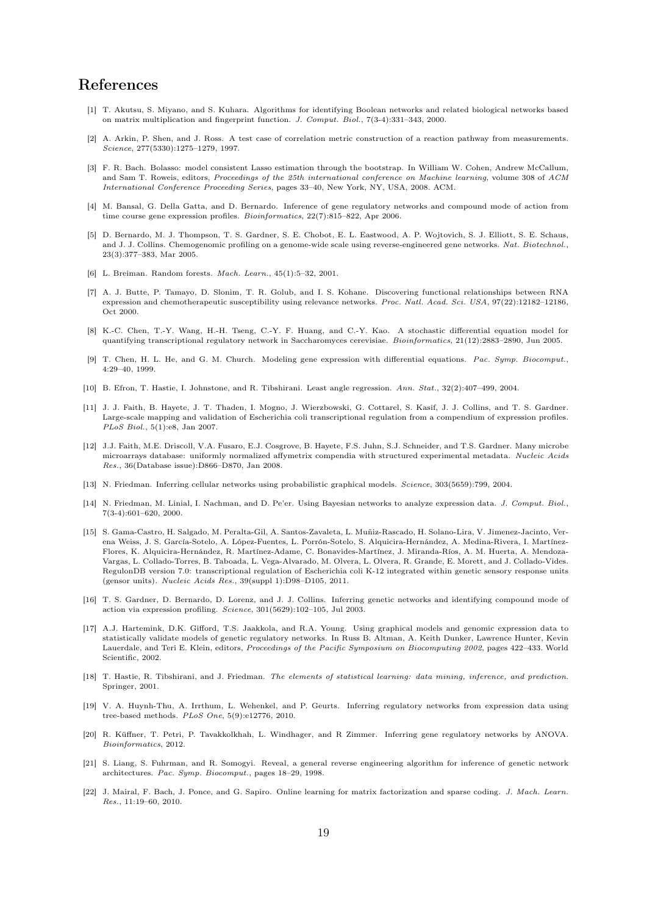## References

- <span id="page-18-3"></span>[1] T. Akutsu, S. Miyano, and S. Kuhara. Algorithms for identifying Boolean networks and related biological networks based on matrix multiplication and fingerprint function. J. Comput. Biol., 7(3-4):331–343, 2000.
- <span id="page-18-0"></span>[2] A. Arkin, P. Shen, and J. Ross. A test case of correlation metric construction of a reaction pathway from measurements. Science, 277(5330):1275–1279, 1997.
- <span id="page-18-15"></span>[3] F. R. Bach. Bolasso: model consistent Lasso estimation through the bootstrap. In William W. Cohen, Andrew McCallum, and Sam T. Roweis, editors, Proceedings of the 25th international conference on Machine learning, volume 308 of ACM International Conference Proceeding Series, pages 33–40, New York, NY, USA, 2008. ACM.
- <span id="page-18-7"></span>[4] M. Bansal, G. Della Gatta, and D. Bernardo. Inference of gene regulatory networks and compound mode of action from time course gene expression profiles. Bioinformatics, 22(7):815–822, Apr 2006.
- <span id="page-18-6"></span>[5] D. Bernardo, M. J. Thompson, T. S. Gardner, S. E. Chobot, E. L. Eastwood, A. P. Wojtovich, S. J. Elliott, S. E. Schaus, and J. J. Collins. Chemogenomic profiling on a genome-wide scale using reverse-engineered gene networks. Nat. Biotechnol., 23(3):377–383, Mar 2005.
- <span id="page-18-16"></span>[6] L. Breiman. Random forests. Mach. Learn., 45(1):5–32, 2001.
- <span id="page-18-8"></span>[7] A. J. Butte, P. Tamayo, D. Slonim, T. R. Golub, and I. S. Kohane. Discovering functional relationships between RNA expression and chemotherapeutic susceptibility using relevance networks. Proc. Natl. Acad. Sci. USA, 97(22):12182–12186, Oct 2000.
- <span id="page-18-5"></span>[8] K.-C. Chen, T.-Y. Wang, H.-H. Tseng, C.-Y. F. Huang, and C.-Y. Kao. A stochastic differential equation model for quantifying transcriptional regulatory network in Saccharomyces cerevisiae. Bioinformatics, 21(12):2883–2890, Jun 2005.
- <span id="page-18-2"></span>[9] T. Chen, H. L. He, and G. M. Church. Modeling gene expression with differential equations. Pac. Symp. Biocomput., 4:29–40, 1999.
- <span id="page-18-14"></span>[10] B. Efron, T. Hastie, I. Johnstone, and R. Tibshirani. Least angle regression. Ann. Stat., 32(2):407–499, 2004.
- <span id="page-18-9"></span>[11] J. J. Faith, B. Hayete, J. T. Thaden, I. Mogno, J. Wierzbowski, G. Cottarel, S. Kasif, J. J. Collins, and T. S. Gardner. Large-scale mapping and validation of Escherichia coli transcriptional regulation from a compendium of expression profiles. PLoS Biol., 5(1):e8, Jan 2007.
- <span id="page-18-19"></span>[12] J.J. Faith, M.E. Driscoll, V.A. Fusaro, E.J. Cosgrove, B. Hayete, F.S. Juhn, S.J. Schneider, and T.S. Gardner. Many microbe microarrays database: uniformly normalized affymetrix compendia with structured experimental metadata. Nucleic Acids Res., 36(Database issue):D866–D870, Jan 2008.
- <span id="page-18-12"></span>[13] N. Friedman. Inferring cellular networks using probabilistic graphical models. Science, 303(5659):799, 2004.
- <span id="page-18-10"></span>[14] N. Friedman, M. Linial, I. Nachman, and D. Pe'er. Using Bayesian networks to analyze expression data. J. Comput. Biol., 7(3-4):601–620, 2000.
- <span id="page-18-20"></span>[15] S. Gama-Castro, H. Salgado, M. Peralta-Gil, A. Santos-Zavaleta, L. Muñiz-Rascado, H. Solano-Lira, V. Jimenez-Jacinto, Verena Weiss, J. S. García-Sotelo, A. López-Fuentes, L. Porrón-Sotelo, S. Alquicira-Hernández, A. Medina-Rivera, I. Martínez-Flores, K. Alquicira-Hernández, R. Martínez-Adame, C. Bonavides-Martínez, J. Miranda-Ríos, A. M. Huerta, A. Mendoza-Vargas, L. Collado-Torres, B. Taboada, L. Vega-Alvarado, M. Olvera, L. Olvera, R. Grande, E. Morett, and J. Collado-Vides. RegulonDB version 7.0: transcriptional regulation of Escherichia coli K-12 integrated within genetic sensory response units (gensor units). Nucleic Acids Res., 39(suppl 1):D98–D105, 2011.
- <span id="page-18-4"></span>[16] T. S. Gardner, D. Bernardo, D. Lorenz, and J. J. Collins. Inferring genetic networks and identifying compound mode of action via expression profiling. Science, 301(5629):102–105, Jul 2003.
- <span id="page-18-11"></span>[17] A.J. Hartemink, D.K. Gifford, T.S. Jaakkola, and R.A. Young. Using graphical models and genomic expression data to statistically validate models of genetic regulatory networks. In Russ B. Altman, A. Keith Dunker, Lawrence Hunter, Kevin Lauerdale, and Teri E. Klein, editors, Proceedings of the Pacific Symposium on Biocomputing 2002, pages 422–433. World Scientific, 2002.
- <span id="page-18-17"></span>[18] T. Hastie, R. Tibshirani, and J. Friedman. The elements of statistical learning: data mining, inference, and prediction. Springer, 2001.
- <span id="page-18-13"></span>[19] V. A. Huynh-Thu, A. Irrthum, L. Wehenkel, and P. Geurts. Inferring regulatory networks from expression data using tree-based methods. PLoS One, 5(9):e12776, 2010.
- <span id="page-18-21"></span>[20] R. Küffner, T. Petri, P. Tavakkolkhah, L. Windhager, and R Zimmer. Inferring gene regulatory networks by ANOVA. Bioinformatics, 2012.
- <span id="page-18-1"></span>[21] S. Liang, S. Fuhrman, and R. Somogyi. Reveal, a general reverse engineering algorithm for inference of genetic network architectures. Pac. Symp. Biocomput., pages 18–29, 1998.
- <span id="page-18-18"></span>[22] J. Mairal, F. Bach, J. Ponce, and G. Sapiro. Online learning for matrix factorization and sparse coding. J. Mach. Learn. Res., 11:19–60, 2010.